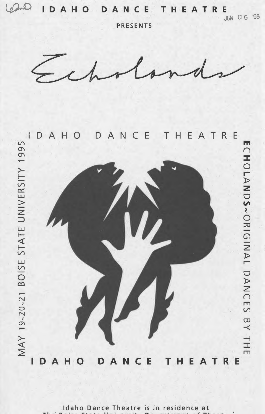$20$ DAHO DANCE I THEA T R E

**PRESENTS** 

**JUN 09 '95** 



Idaho Dance Theatre is in residence at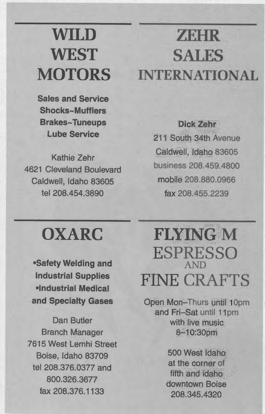# **WILD WEST MOTORS**

**Sales and Service** Shocks~Mufflers **Brakes~Tuneups Lube Service** 

Kathie Zehr 4621 Cleveland Boulevard Caldwell. Idaho 83605 tel 208.454.3890

# **ZEHR SALES INTERNATIONAL**

Dick Zehr 211 South 34th Avenue Caldwell, Idaho 83605 business 208,459,4800 mobile 208,880,0966 fax 208 455 2239

# **OXARC**

**•Safety Welding and Industrial Supplies •Industrial Medical** and Specialty Gases

Dan Butler **Branch Manager** 7615 West Lemhi Street Boise, Idaho 83709 tel 208.376.0377 and 800.326.3677 fax 208,376.1133

# **FIFTNG M ESPRESSO AND FINE CRAFTS**

Open Mon-Thurs until 10pm and Fri-Sat until 11pm with live music 8-10:30pm

> 500 West Idaho at the corner of fifth and idaho. downtown Boise 208.345.4320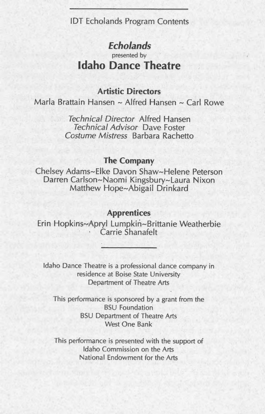lOT Echolands Program Contents

# *Echo lands*

presented by

# **Idaho Dance Theatre**

# **Artistic Directors**

Marla Brattain Hansen ~ Alfred Hansen ~ Carl Rowe

*Technical Director* Alfred Hansen *Technical Advisor* Dave Foster *Costume Mistress* Barbara Rachetto

## **The Company**

Chelsey Adams~Eike Davon Shaw~Helene Peterson Darren Carlson~Naomi Kingsbury~Laura Nixon Matthew Hope~Abigail Drinkard

## **Apprentices**

Erin Hopkins~Apryl Lumpkin~Brittanie Weatherbie Carrie Shanafelt

Idaho Dance Theatre is a professional dance company in residence at Boise State University Department of Theatre Arts

This performance is sponsored by a grant from the BSU Foundation BSU Department of Theatre Arts West One Bank

This performance is presented with the support of Idaho Commission on the Arts National Endowment for the Arts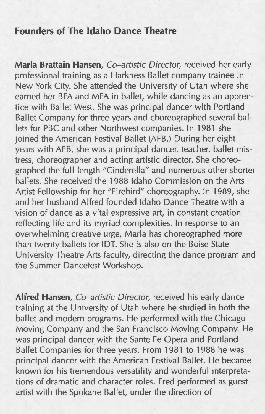# **Founders of The Idaho Dance Theatre**

**Marla Brattain Hansen,** *Co-artistic Director,* received her early professional training as a Harkness Ballet company trainee in New York City. She attended the University of Utah where she earned her BFA and MFA in ballet, while dancing as an apprentice with Ballet West. She was principal dancer with Portland Ballet Company for three years and choreographed several ballets for PBC and other Northwest companies. In 1981 she joined the American Festival Ballet (AFB.) During her eight years with AFB, she was a principal dancer, teacher, ballet mistress, choreographer and acting artistic director. She choreographed the full length "Cinderella" and numerous other shorter ballets. She received the 1988 Idaho Commission on the Arts Artist Fellowship for her "Firebird" choreography. In 1989, she and her husband Alfred founded Idaho Dance Theatre with a vision of dance as a vital expressive art, in constant creation reflecting life and its myriad complexities. In response to an overwhelming creative urge, Marla has choreographed more than twenty ballets for lOT. She is also on the Boise State University Theatre Arts faculty, directing the dance program and the Summer Dancefest Workshop.

**Alfred Hansen,** *Co-artistic Director,* received his early dance training at the University of Utah where he studied in both the ballet and modern programs. He performed with the Chicago Moving Company and the San Francisco Moving Company. He was principal dancer with the Sante Fe Opera and Portland Ballet Companies for three years. From 1981 to 1988 he was principal dancer with the American Festival Ballet. He became known for his tremendous versatility and wonderful interpretations of dramatic and character roles. Fred performed as guest artist with the Spokane Ballet, under the direction of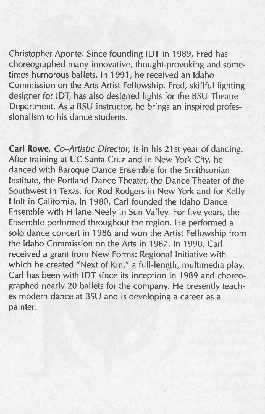Christopher Aponte. Since founding lOT in 1989, Fred has choreographed many innovative, thought-provoking and sometimes humorous ballets. In 1991, he received an Idaho Commission on the Arts Artist Fellowship. Fred, skillful lighting designer for IDT, has also designed lights for the BSU Theatre Department. As a BSU instructor, he brings an inspired professionalism to his dance students.

**Carl Rowe,** *Co-Artistic Director,* is in his 21st year of dancing. After training at UC Santa Cruz and in New York City, he danced with Baroque Dance Ensemble for the Smithsonian Institute, the Portland Dance Theater, the Dance Theater of the Southwest in Texas, for Rod Rodgers in New York and for Kelly Holt in California. In 1980, Carl founded the Idaho Dance Ensemble with Hilarie Neely in Sun Valley. For five years, the Ensemble performed throughout the region. He performed a solo dance concert in 1986 and won the Artist Fellowship from the Idaho Commission on the Arts in 1987. In 1990, Carl received a grant from New Forms: Regional Initiative with which he created "Next of Kin," a full-length, multimedia play. Carl has been with lOT since its inception in 1989 and choreographed nearly 20 ballets for the company. He presently teaches modern dance at BSU and is developing a career as <sup>a</sup> painter.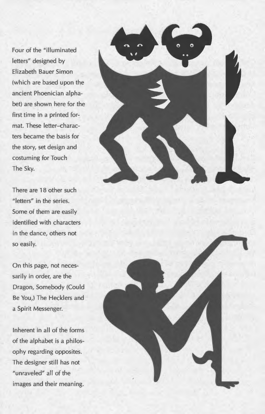Four of the "illuminated letters" designed by Elizabeth Bauer Simon (which are based upon the ancient Phoenician alphabet) are shown here for the first time in a printed format. These letter-characters became the basis for the story, set design and costuming for Touch The Sky.

There are 18 other such "letters" in the series. Some of them are easily identified with characters in the dance, others not so easily.

On this page, not necessarily in order, are the Dragon, Somebody (Could Be You,) The Hecklers and a Spirit Messenger.

Inherent in all of the forms of the alphabet is a philosophy regarding opposites. The designer still has not "unraveled" all of the images and their meaning.



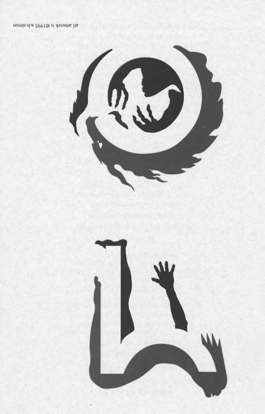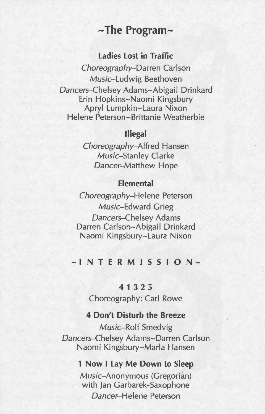# **--The Program--**

## **Ladies Lost in Traffic**

Choreography-Darren Carlson Music-Ludwig Beethoven Dancers-Chelsey Adams~Abigail Drinkard Erin Hopkins~Naomi Kingsbury Apryl Lumpkin~Laura Nixon Helene Peterson~Brittanie Weatherbie

## **Illegal**

Choreography-Alfred Hansen Music-Stanley Clarke Dancer-Matthew Hope

## **Elemental**

Choreography-Helene Peterson Music-Edward Grieg Dancers-Chelsey Adams Darren Carlson~Abigail Drinkard Naomi Kingsbury~Laura Nixon

# **-INTERMISSION-**

### **41** 3 2 5

Choreography: Carl Rowe

#### **4 Don't Disturb the Breeze**

Music-Rolf Smedvig Dancers-Chelsey Adams~Darren Carlson Naomi Kingsbury~Marla Hansen

#### **1 Now I Lay Me Down to Sleep**

Music-Anonymous (Gregorian) with Jan Garbarek-Saxophone Dancer-Helene Peterson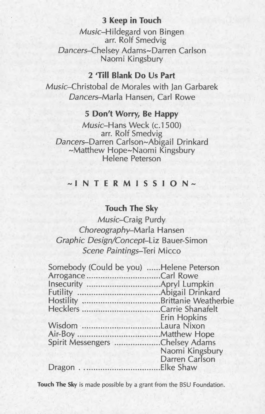## **3 Keep in Touch**

Music-Hildegard von Bingen arr. Rolf Smedvig Dancers-Chelsey Adams~Darren Carlson Naomi Kingsbury

## **2 'Till Blank Do Us Part**

Music-Christobal de Morales with Jan Garbarek Dancers-Marla Hansen, Carl Rowe

## **5 Don't Worry, Be Happy**

Music-Hans Week (c.1500) arr. Rolf Smedvig Dancers-Darren Carlson~Abigail Drinkard ~Matthew Hope~Naomi Kingsbury Helene Peterson

# **-INTERMISSION-**

## **Touch The Sky**

Music-Craig Purdy Choreography-Marla Hansen Graphic Design/Concept-Liz Bauer-Simon Scene Paintings-Teri Micco

**Touch The** Sky is made possible by a grant from the BSU Foundation.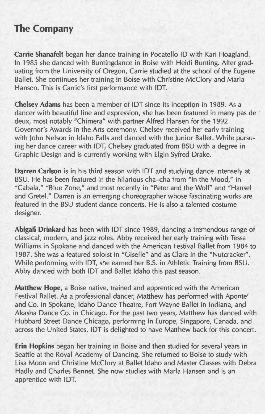# **The Company**

**Carrie Shanafelt** began her dance training in Pocatello ID with Kari Hoagland. In 1985 she danced with Buntingdance in Boise with Heidi Bunting. After graduating from the University of Oregon, Carrie studied at the school of the Eugene Ballet. She continues her training in Boise with Christine McClory and Marla Hansen. This is Carrie's first performance with IDT.

**Chelsey Adams** has been a member of IDT since its inception in 1989. As a dancer with beautiful line and expression, she has been featured in many pas de i deux, most notably "Chimera" with partner Alfred Hansen for the 1992 Governor's Awards in the Arts ceremony. Chelsey received her early training with John Nelson in Idaho Falls and danced with the Junior Ballet. While pursuing her dance career with IDT, Chelsey graduated from BSU with a degree in Graphic Design and is currently working with Elgin Syfred Drake.

**Darren Carlson** is in his third season with IDT and studying dance intensely at BSU. He has been featured in the hilarious cha-cha from "In the Mood," in "Cabala," "Blue Zone," and most recently in "Peter and the Wolf" and "Hansel and Gretel." Darren is an emerging choreographer whose fascinating works are featured in the BSU student dance concerts. He is also a talented costume designer.

**Abigail Drinkard** has been with IDT since 1989, dancing a tremendous range of classical, modern, and jazz roles. Abby received her early training with Tessa Williams in Spokane and danced with the American Festival Ballet from 1984 to 1987. She was a featured soloist in "Giselle" and as Clara in the "Nutcracker". While performing with IDT, she earned her B.S. in Athletic Training from BSU. Abby danced with both IDT and Ballet Idaho this past season.

**Matthew Hope,** a Boise native, trained and apprenticed with the American Festival Ballet. As a professional dancer, Matthew has performed with Aponte' and Co. in Spokane, Idaho Dance Theatre, Fort Wayne Ballet in Indiana, and Akasha Dance Co. in Chicago. For the past two years, Matthew has danced with Hubbard Street Dance Chicago, performing in Europe, Singapore, Canada, and across the United States. IDT is delighted to have Matthew back for this concert.

**Erin Hopkins** began her training in Boise and then studied for several years in Seattle at the Royal Academy of Dancing. She returned to Boise to study with Lisa Moon and Christine McClory at Ballet Idaho and Master Classes with Debra Hadly and Charles Bennet. She now studies with Marla Hansen and is an apprentice with IDT.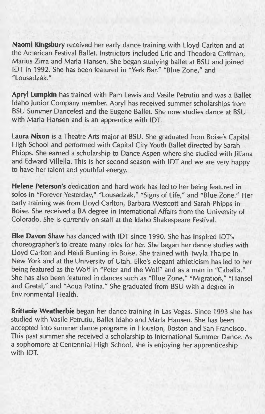**Naomi Kingsbury** received her early dance training with Lloyd Carlton and at the American Festival Ballet. Instructors included Eric and Theodora Coffman, Marius Zirra and Marla Hansen. She began studying ballet at BSU and joined lOT in 1992. She has been featured in "Yerk Bar," "Blue Zone," and "Lousadzak."

**Apryl Lumpkin** has trained with Pam Lewis and Vasile Petrutiu and was a Ballet Idaho Junior Company member. Apryl has received summer scholarships from BSU Summer Dancefest and the Eugene Ballet. She now studies dance at BSU with Marla Hansen and is an apprentice with IDT.

**Laura Nixon** is a Theatre Arts major at BSU. She graduated from Boise's Capital High School and performed with Capital City Youth Ballet directed by Sarah Phipps. She earned a scholarship to Dance Aspen where she studied with Jillana and Edward Villella. This is her second season with lOT and we are very happy to have her talent and youthful energy.

**Helene Peterson's** dedication and hard work has led to her being featured in solos in "Forever Yesterday," "Lousadzak," "Signs of Life," and "Blue Zone." Her early training was from Lloyd Carlton, Barbara Westcott and Sarah Phipps in Boise. She received a BA degree in International Affairs from the University of Colorado. She is currently on staff at the Idaho Shakespeare Festival.

**Elke Davon Shaw** has danced with lOT since 1990. She has inspired lOT's choreographer's to create many roles for her. She began her dance studies with Lloyd Carlton and Heidi Bunting in Boise. She trained with Twyla Tharpe in New York and at the University of Utah. Elke's elegant athleticism has led to her being featured as the Wolf in "Peter and the Wolf" and as a man in "Caballa." She has also been featured in dances such as "Blue Zone," "Migration," "Hansel and Gretal," and "Aqua Patina." She graduated from BSU with a degree in Environmental Health.

**Brittanie Weatherbie** began her dance training in Las Vegas. Since 1993 she has studied with Vasile Petrutiu, Ballet Idaho and Marla Hansen. She has been accepted into summer dance programs in Houston, Boston and San Francisco. This past summer she received a scholarship to International Summer Dance. As a sophomore at Centennial High School, she is enjoying her apprenticeship with lOT.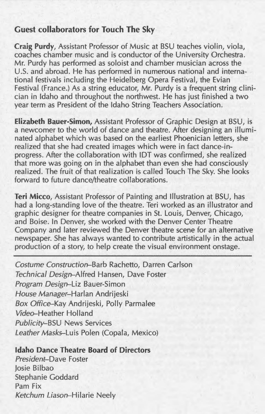## **Guest collaborators for Touch The Sky**

**Craig Purdy,** Assistant Professor of Music at BSU teaches violin, viola, coaches chamber music and is conductor of the University Orchestra. Mr. Purdy has performed as soloist and chamber musician across the U.S. and abroad. He has performed in numerous national and international festivals including the Heidelberg Opera Festival, the Evian Festival (France.) As a string educator, Mr. Purdy is a frequent string clinician in Idaho and throughout the northwest. He has just finished a two year term as President of the Idaho String Teachers Association.

**Elizabeth Bauer-Simon,** Assistant Professor of Graphic Design at BSU, is a newcomer to the world of dance and theatre. After designing an illuminated alphabet which was based on the earliest Phoenician letters, she realized that she had created images which were in fact dance-inprogress. After the collaboration with lOT was confirmed, she realized that more was going on in the alphabet than even she had consciously realized. The fruit of that realization is called Touch The Sky. She looks forward to future dance/theatre collaborations.

**Teri Micco,** Assistant Professor of Painting and Illustration at BSU, has had a long-standing love of the theatre. Teri worked as an illustrator and graphic designer for theatre companies in St. Louis, Denver, Chicago, and Boise. In Denver, she worked with the Denver Center Theatre Company and later reviewed the Denver theatre scene for an alternative newspaper. She has always wanted to contribute artistically in the actual production of a story, to help create the visual environment onstage.

Costume Construction-Barb Rachetto, Darren Carlson Technical Design-Alfred Hansen, Dave Foster Program Design-Liz Bauer-Simon House Manager-Harlan Andrijeski Box Office-Kay Andrijeski, Polly Parmalee Video-Heather Holland Publicity-BSU News Services Leather Masks-Luis Polen (Copala, Mexico)

#### **Idaho Dance Theatre Board of Directors**

President-Dave Foster Josie Bilbao Stephanie Goddard Pam Fix Ketchum Liason-Hilarie Neely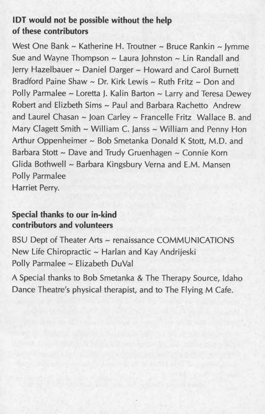# **IDT would not be possible without the help of these contributors**

West One Bank ~ Katherine H. Troutner ~ Bruce Rankin ~ Jymme Sue and Wayne Thompson  $\sim$  Laura Johnston  $\sim$  Lin Randall and Jerry Hazelbauer ~ Daniel Darger ~ Howard and Carol Burnett Bradford Paine Shaw  $\sim$  Dr. Kirk Lewis  $\sim$  Ruth Fritz  $\sim$  Don and Polly Parmalee ~ Loretta J. Kalin Barton ~ Larry and Teresa Dewey Robert and Elizbeth Sims  $\sim$  Paul and Barbara Rachetto Andrew and Laurel Chasan  $\sim$  Joan Carley  $\sim$  Francelle Fritz Wallace B. and Mary Clagett Smith  $\sim$  William C. Janss  $\sim$  William and Penny Hon Arthur Oppenheimer ~ Bob Smetanka Donald K Stott, M.D. and Barbara Stott  $\sim$  Dave and Trudy Gruenhagen  $\sim$  Connie Korn Glida Bothwell ~ Barbara Kingsbury Verna and E.M. Mansen Polly Parmalee Harriet Perry.

**Special thanks to our in-kind contributors and volunteers** 

BSU Dept of Theater Arts ~ renaissance COMMUNICATIONS New Life Chiropractic ~ Harlan and Kay Andrijeski Polly Parmalee ~ Elizabeth DuVal

A Special thanks to Bob Smetanka & The Therapy Source, Idaho Dance Theatre's physical therapist, and to The Flying M Cafe.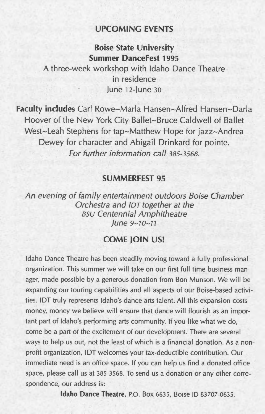## **UPCOMING EVENTS**

**Boise State University Summer DanceFest 1995** 

A three-week workshop with Idaho Dance Theatre in residence June 12-June 30

**Faculty includes** Carl Rowe-Marla Hansen-Alfred Hansen-Darla Hoover of the New York City Ballet-Bruce Caldwell of Ballet West-Leah Stephens for tap-Matthew Hope for jazz-Andrea Dewey for character and Abigail Drinkard for pointe. For fwther information call *385-3568.* 

#### **SUMMERFEST 95**

An evening of family entertainment outdoors Boise Chamber Orchestra and *lOT* together at the *BSU* Centennial Amphitheatre june *9-70-11* 

# **COME JOIN US!**

Idaho Dance Theatre has been steadily moving toward a fully professional organization. This summer we will take on our first full time business manager, made possible by a generous donation from Bon Munson. We will be expanding our touring capabilities and all aspects of our Boise-based activities. lOT truly represents Idaho's dance arts talent. All this expansion costs money, money we believe will ensure that dance will flourish as an important part of Idaho's performing arts community. If you like what we do, come be a part of the excitement of our development. There are several ways to help us out, not the least of which is a financial donation. As a nonprofit organization, lOT welcomes your tax-deductible contribution. Our immediate need is an office space. If you can help us find a donated office space, please call us at 385-3568. To send us a donation or any other correspondence, our address is:

**Idaho Dance Theatre,** P.O. Box 6635, Boise ID 83707-0635.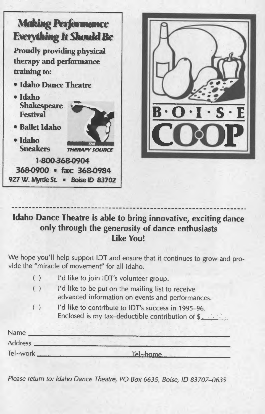

# **Idaho Dance Theatre is able to bring innovative, exciting dance only through the generosity of dance enthusiasts Like You!**

We hope you'll help support lOT and ensure that it continues to grow and provide the "miracle of movement" for all Idaho.

| ( ) | I'd like to join IDT's volunteer group.                                                                          |
|-----|------------------------------------------------------------------------------------------------------------------|
| ( ) | I'd like to be put on the mailing list to receive<br>advanced information on events and performances.            |
| ( ) | I'd like to contribute to IDT's success in 1995-96.<br>Enclosed is my tax-deductible contribution of $\S_{\sim}$ |

| Name           |          |  |
|----------------|----------|--|
| <b>Address</b> |          |  |
| Tel~work.      | Tel~home |  |

Please return to: Idaho Dance Theatre, PO Box 6635, Boise, *ID 83707-0635*